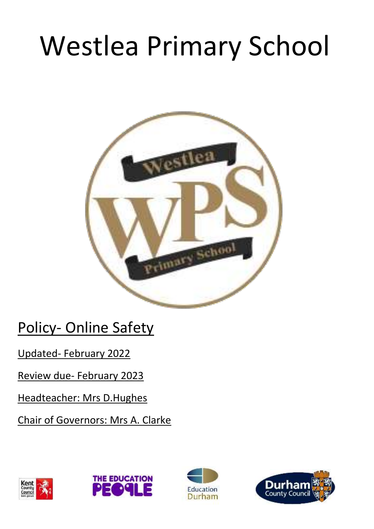# Westlea Primary School



Policy- Online Safety

Updated- February 2022

Review due- February 2023

Headteacher: Mrs D.Hughes

Chair of Governors: Mrs A. Clarke







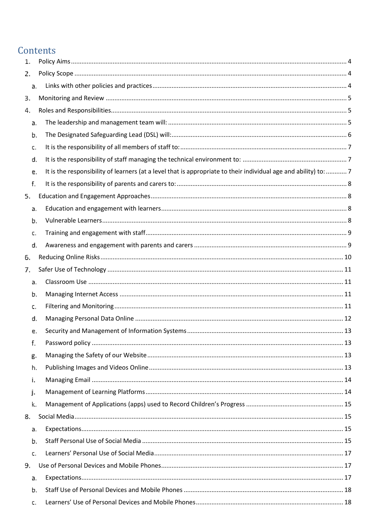#### Contents

| 1. |                |                                                                                                                  |  |
|----|----------------|------------------------------------------------------------------------------------------------------------------|--|
| 2. |                |                                                                                                                  |  |
|    | a.             |                                                                                                                  |  |
| З. |                |                                                                                                                  |  |
| 4. |                |                                                                                                                  |  |
|    | a.             |                                                                                                                  |  |
|    | b.             |                                                                                                                  |  |
|    | c.             |                                                                                                                  |  |
|    | d.             |                                                                                                                  |  |
|    | e.             | It is the responsibility of learners (at a level that is appropriate to their individual age and ability) to:  7 |  |
|    | f.             |                                                                                                                  |  |
| 5. |                |                                                                                                                  |  |
|    | a.             |                                                                                                                  |  |
|    | b.             |                                                                                                                  |  |
|    | c.             |                                                                                                                  |  |
|    | d.             |                                                                                                                  |  |
| 6. |                |                                                                                                                  |  |
| 7. |                |                                                                                                                  |  |
|    | a.             |                                                                                                                  |  |
|    | b.             |                                                                                                                  |  |
|    | c.             |                                                                                                                  |  |
|    | d.             |                                                                                                                  |  |
|    | e.             |                                                                                                                  |  |
|    | f.             |                                                                                                                  |  |
|    | g.             |                                                                                                                  |  |
|    | h.             |                                                                                                                  |  |
|    | i.             |                                                                                                                  |  |
|    | j.             |                                                                                                                  |  |
|    | k.             |                                                                                                                  |  |
| 8. |                |                                                                                                                  |  |
|    | a.             |                                                                                                                  |  |
|    | b.             |                                                                                                                  |  |
|    | $\mathbb{C}$ . |                                                                                                                  |  |
| 9. |                |                                                                                                                  |  |
|    | a.             |                                                                                                                  |  |
|    | b.             |                                                                                                                  |  |
|    | $\mathbb{C}$ . |                                                                                                                  |  |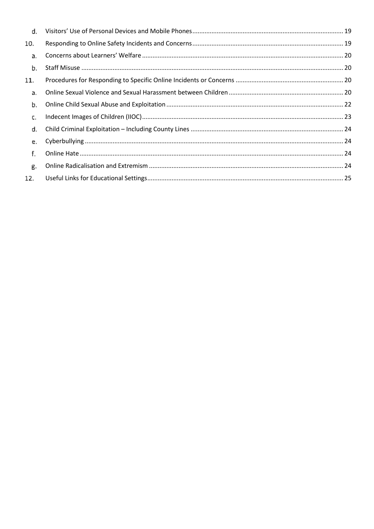| d.  |  |
|-----|--|
| 10. |  |
| a.  |  |
| Ъ.  |  |
| 11. |  |
| a.  |  |
| b.  |  |
| L.  |  |
| d.  |  |
| e.  |  |
| f.  |  |
| g.  |  |
| 12. |  |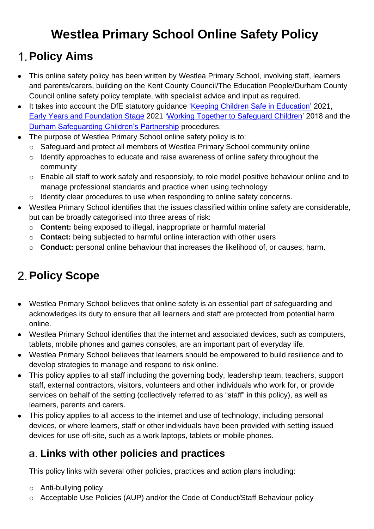# **Westlea Primary School Online Safety Policy**

# <span id="page-3-0"></span>**Policy Aims**

- This online safety policy has been written by Westlea Primary School, involving staff, learners and parents/carers, building on the Kent County Council/The Education People/Durham County Council online safety policy template, with specialist advice and input as required.
- It takes into account the DfE statutory guidance ['Keeping Children Safe in Education'](https://www.gov.uk/government/publications/keeping-children-safe-in-education--2) 2021, [Early Years and Foundation Stage](https://www.gov.uk/government/publications/early-years-foundation-stage-framework--2) 2021 '[Working Together to Safeguard Children'](https://www.gov.uk/government/publications/working-together-to-safeguard-children--2) 2018 and the [Durham Safeguarding Children's Partnership](http://www.durham-scp.org.uk/whats-new/) procedures.
- The purpose of Westlea Primary School online safety policy is to:
	- o Safeguard and protect all members of Westlea Primary School community online
	- o Identify approaches to educate and raise awareness of online safety throughout the community
	- o Enable all staff to work safely and responsibly, to role model positive behaviour online and to manage professional standards and practice when using technology
	- o Identify clear procedures to use when responding to online safety concerns.
- Westlea Primary School identifies that the issues classified within online safety are considerable, but can be broadly categorised into three areas of risk:
	- o **Content:** being exposed to illegal, inappropriate or harmful material
	- o **Contact:** being subjected to harmful online interaction with other users
	- o **Conduct:** personal online behaviour that increases the likelihood of, or causes, harm.

# <span id="page-3-1"></span>**Policy Scope**

- Westlea Primary School believes that online safety is an essential part of safeguarding and acknowledges its duty to ensure that all learners and staff are protected from potential harm online.
- Westlea Primary School identifies that the internet and associated devices, such as computers, tablets, mobile phones and games consoles, are an important part of everyday life.
- Westlea Primary School believes that learners should be empowered to build resilience and to develop strategies to manage and respond to risk online.
- This policy applies to all staff including the governing body, leadership team, teachers, support staff, external contractors, visitors, volunteers and other individuals who work for, or provide services on behalf of the setting (collectively referred to as "staff" in this policy), as well as learners, parents and carers.
- This policy applies to all access to the internet and use of technology, including personal devices, or where learners, staff or other individuals have been provided with setting issued devices for use off-site, such as a work laptops, tablets or mobile phones.

#### <span id="page-3-2"></span>**Links with other policies and practices**

This policy links with several other policies, practices and action plans including:

- o Anti-bullying policy
- o Acceptable Use Policies (AUP) and/or the Code of Conduct/Staff Behaviour policy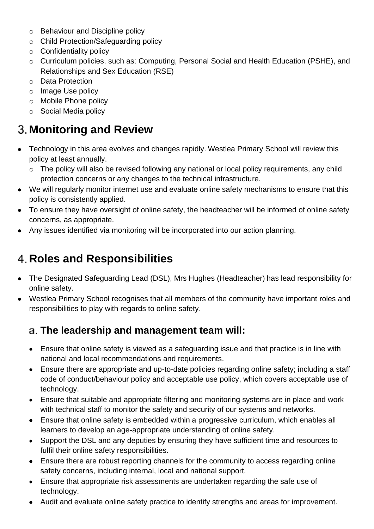- o Behaviour and Discipline policy
- o Child Protection/Safeguarding policy
- o Confidentiality policy
- o Curriculum policies, such as: Computing, Personal Social and Health Education (PSHE), and Relationships and Sex Education (RSE)
- o Data Protection
- o Image Use policy
- o Mobile Phone policy
- o Social Media policy

# <span id="page-4-0"></span>**Monitoring and Review**

- Technology in this area evolves and changes rapidly. Westlea Primary School will review this policy at least annually.
	- o The policy will also be revised following any national or local policy requirements, any child protection concerns or any changes to the technical infrastructure.
- We will regularly monitor internet use and evaluate online safety mechanisms to ensure that this policy is consistently applied.
- To ensure they have oversight of online safety, the headteacher will be informed of online safety concerns, as appropriate.
- Any issues identified via monitoring will be incorporated into our action planning.

# <span id="page-4-1"></span>**Roles and Responsibilities**

- The Designated Safeguarding Lead (DSL), Mrs Hughes (Headteacher) has lead responsibility for online safety.
- Westlea Primary School recognises that all members of the community have important roles and responsibilities to play with regards to online safety.

#### <span id="page-4-2"></span>**The leadership and management team will:**

- Ensure that online safety is viewed as a safeguarding issue and that practice is in line with national and local recommendations and requirements.
- Ensure there are appropriate and up-to-date policies regarding online safety; including a staff code of conduct/behaviour policy and acceptable use policy, which covers acceptable use of technology.
- Ensure that suitable and appropriate filtering and monitoring systems are in place and work with technical staff to monitor the safety and security of our systems and networks.
- Ensure that online safety is embedded within a progressive curriculum, which enables all learners to develop an age-appropriate understanding of online safety.
- Support the DSL and any deputies by ensuring they have sufficient time and resources to fulfil their online safety responsibilities.
- Ensure there are robust reporting channels for the community to access regarding online safety concerns, including internal, local and national support.
- Ensure that appropriate risk assessments are undertaken regarding the safe use of technology.
- Audit and evaluate online safety practice to identify strengths and areas for improvement.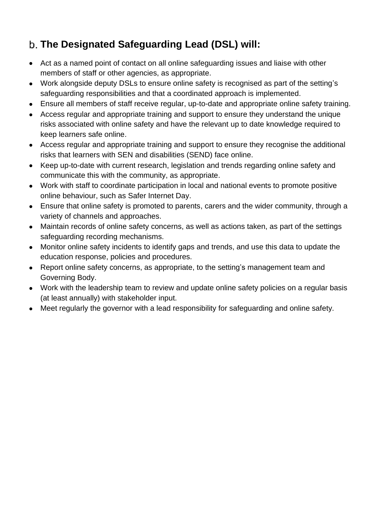#### <span id="page-5-0"></span>**The Designated Safeguarding Lead (DSL) will:**

- Act as a named point of contact on all online safeguarding issues and liaise with other members of staff or other agencies, as appropriate.
- Work alongside deputy DSLs to ensure online safety is recognised as part of the setting's safeguarding responsibilities and that a coordinated approach is implemented.
- Ensure all members of staff receive regular, up-to-date and appropriate online safety training.
- Access regular and appropriate training and support to ensure they understand the unique risks associated with online safety and have the relevant up to date knowledge required to keep learners safe online.
- Access regular and appropriate training and support to ensure they recognise the additional risks that learners with SEN and disabilities (SEND) face online.
- Keep up-to-date with current research, legislation and trends regarding online safety and communicate this with the community, as appropriate.
- Work with staff to coordinate participation in local and national events to promote positive online behaviour, such as Safer Internet Day.
- Ensure that online safety is promoted to parents, carers and the wider community, through a variety of channels and approaches.
- Maintain records of online safety concerns, as well as actions taken, as part of the settings safeguarding recording mechanisms.
- Monitor online safety incidents to identify gaps and trends, and use this data to update the education response, policies and procedures.
- Report online safety concerns, as appropriate, to the setting's management team and Governing Body.
- Work with the leadership team to review and update online safety policies on a regular basis (at least annually) with stakeholder input.
- Meet regularly the governor with a lead responsibility for safeguarding and online safety.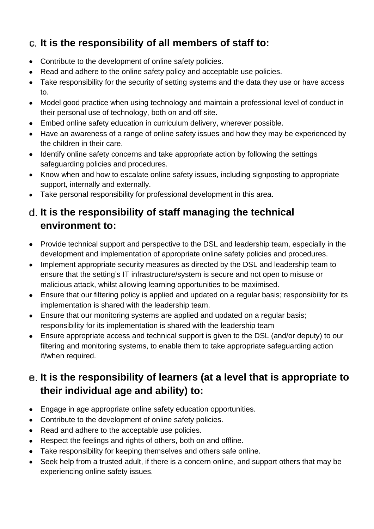#### <span id="page-6-0"></span>**It is the responsibility of all members of staff to:**

- Contribute to the development of online safety policies.
- Read and adhere to the online safety policy and acceptable use policies.
- Take responsibility for the security of setting systems and the data they use or have access to.
- Model good practice when using technology and maintain a professional level of conduct in their personal use of technology, both on and off site.
- Embed online safety education in curriculum delivery, wherever possible.
- Have an awareness of a range of online safety issues and how they may be experienced by the children in their care.
- Identify online safety concerns and take appropriate action by following the settings safeguarding policies and procedures.
- Know when and how to escalate online safety issues, including signposting to appropriate support, internally and externally.
- Take personal responsibility for professional development in this area.

#### <span id="page-6-1"></span>**It is the responsibility of staff managing the technical environment to:**

- Provide technical support and perspective to the DSL and leadership team, especially in the development and implementation of appropriate online safety policies and procedures.
- Implement appropriate security measures as directed by the DSL and leadership team to ensure that the setting's IT infrastructure/system is secure and not open to misuse or malicious attack, whilst allowing learning opportunities to be maximised.
- Ensure that our filtering policy is applied and updated on a regular basis; responsibility for its implementation is shared with the leadership team.
- Ensure that our monitoring systems are applied and updated on a regular basis; responsibility for its implementation is shared with the leadership team
- Ensure appropriate access and technical support is given to the DSL (and/or deputy) to our filtering and monitoring systems, to enable them to take appropriate safeguarding action if/when required.

#### <span id="page-6-2"></span>**It is the responsibility of learners (at a level that is appropriate to their individual age and ability) to:**

- Engage in age appropriate online safety education opportunities.
- Contribute to the development of online safety policies.
- Read and adhere to the acceptable use policies.
- Respect the feelings and rights of others, both on and offline.
- Take responsibility for keeping themselves and others safe online.
- Seek help from a trusted adult, if there is a concern online, and support others that may be experiencing online safety issues.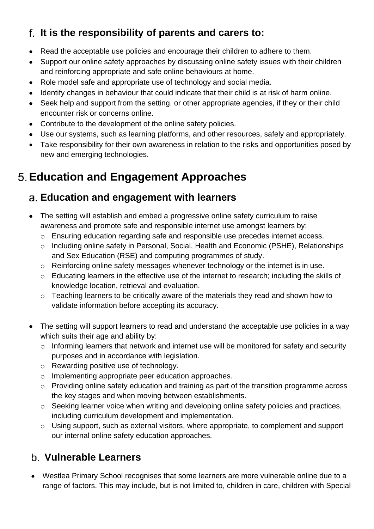#### <span id="page-7-0"></span>**It is the responsibility of parents and carers to:**

- Read the acceptable use policies and encourage their children to adhere to them.
- Support our online safety approaches by discussing online safety issues with their children and reinforcing appropriate and safe online behaviours at home.
- Role model safe and appropriate use of technology and social media.
- Identify changes in behaviour that could indicate that their child is at risk of harm online.
- Seek help and support from the setting, or other appropriate agencies, if they or their child encounter risk or concerns online.
- Contribute to the development of the online safety policies.
- Use our systems, such as learning platforms, and other resources, safely and appropriately.
- Take responsibility for their own awareness in relation to the risks and opportunities posed by new and emerging technologies.

# <span id="page-7-1"></span>**Education and Engagement Approaches**

#### <span id="page-7-2"></span>**Education and engagement with learners**

- The setting will establish and embed a progressive online safety curriculum to raise awareness and promote safe and responsible internet use amongst learners by:
	- o Ensuring education regarding safe and responsible use precedes internet access.
	- o Including online safety in Personal, Social, Health and Economic (PSHE), Relationships and Sex Education (RSE) and computing programmes of study.
	- o Reinforcing online safety messages whenever technology or the internet is in use.
	- o Educating learners in the effective use of the internet to research; including the skills of knowledge location, retrieval and evaluation.
	- o Teaching learners to be critically aware of the materials they read and shown how to validate information before accepting its accuracy.
- The setting will support learners to read and understand the acceptable use policies in a way which suits their age and ability by:
	- o Informing learners that network and internet use will be monitored for safety and security purposes and in accordance with legislation.
	- o Rewarding positive use of technology.
	- o Implementing appropriate peer education approaches.
	- o Providing online safety education and training as part of the transition programme across the key stages and when moving between establishments.
	- o Seeking learner voice when writing and developing online safety policies and practices, including curriculum development and implementation.
	- o Using support, such as external visitors, where appropriate, to complement and support our internal online safety education approaches.

#### <span id="page-7-3"></span>**Vulnerable Learners**

• Westlea Primary School recognises that some learners are more vulnerable online due to a range of factors. This may include, but is not limited to, children in care, children with Special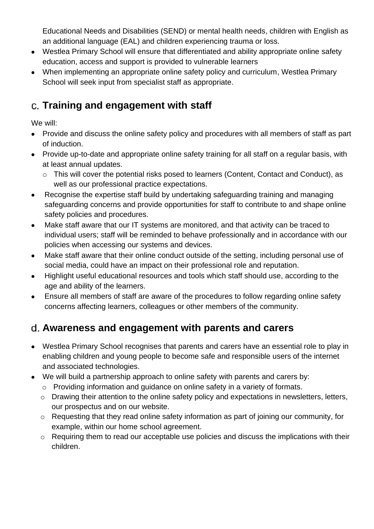Educational Needs and Disabilities (SEND) or mental health needs, children with English as an additional language (EAL) and children experiencing trauma or loss.

- Westlea Primary School will ensure that differentiated and ability appropriate online safety education, access and support is provided to vulnerable learners
- When implementing an appropriate online safety policy and curriculum, Westlea Primary School will seek input from specialist staff as appropriate.

#### <span id="page-8-0"></span>**Training and engagement with staff**

We will:

- Provide and discuss the online safety policy and procedures with all members of staff as part of induction.
- Provide up-to-date and appropriate online safety training for all staff on a regular basis, with at least annual updates.
	- o This will cover the potential risks posed to learners (Content, Contact and Conduct), as well as our professional practice expectations.
- Recognise the expertise staff build by undertaking safeguarding training and managing safeguarding concerns and provide opportunities for staff to contribute to and shape online safety policies and procedures.
- Make staff aware that our IT systems are monitored, and that activity can be traced to individual users; staff will be reminded to behave professionally and in accordance with our policies when accessing our systems and devices.
- Make staff aware that their online conduct outside of the setting, including personal use of social media, could have an impact on their professional role and reputation.
- Highlight useful educational resources and tools which staff should use, according to the age and ability of the learners.
- Ensure all members of staff are aware of the procedures to follow regarding online safety concerns affecting learners, colleagues or other members of the community.

#### <span id="page-8-1"></span>**Awareness and engagement with parents and carers**

- Westlea Primary School recognises that parents and carers have an essential role to play in enabling children and young people to become safe and responsible users of the internet and associated technologies.
- We will build a partnership approach to online safety with parents and carers by:
	- o Providing information and guidance on online safety in a variety of formats.
	- o Drawing their attention to the online safety policy and expectations in newsletters, letters, our prospectus and on our website.
	- o Requesting that they read online safety information as part of joining our community, for example, within our home school agreement.
	- o Requiring them to read our acceptable use policies and discuss the implications with their children.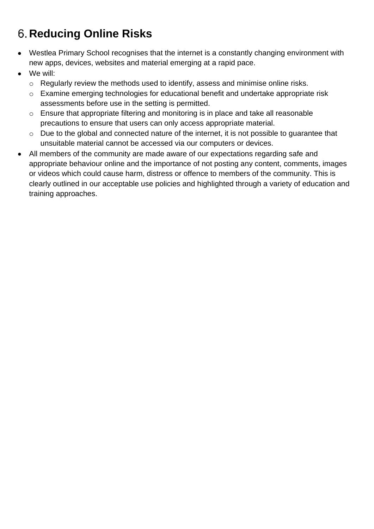# <span id="page-9-0"></span>**Reducing Online Risks**

- Westlea Primary School recognises that the internet is a constantly changing environment with new apps, devices, websites and material emerging at a rapid pace.
- We will:
	- o Regularly review the methods used to identify, assess and minimise online risks.
	- o Examine emerging technologies for educational benefit and undertake appropriate risk assessments before use in the setting is permitted.
	- o Ensure that appropriate filtering and monitoring is in place and take all reasonable precautions to ensure that users can only access appropriate material.
	- o Due to the global and connected nature of the internet, it is not possible to guarantee that unsuitable material cannot be accessed via our computers or devices.
- All members of the community are made aware of our expectations regarding safe and appropriate behaviour online and the importance of not posting any content, comments, images or videos which could cause harm, distress or offence to members of the community. This is clearly outlined in our acceptable use policies and highlighted through a variety of education and training approaches.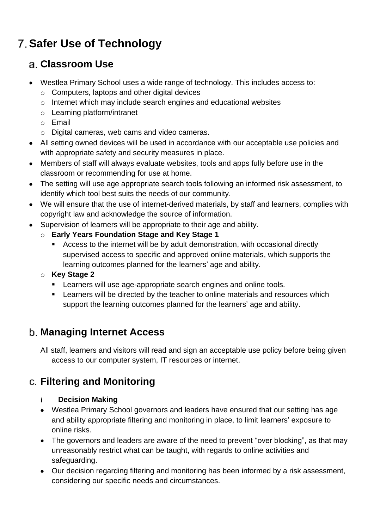# <span id="page-10-0"></span>**Safer Use of Technology**

#### <span id="page-10-1"></span>**Classroom Use**

- Westlea Primary School uses a wide range of technology. This includes access to:
	- o Computers, laptops and other digital devices
	- o Internet which may include search engines and educational websites
	- o Learning platform/intranet
	- o Email
	- o Digital cameras, web cams and video cameras.
- All setting owned devices will be used in accordance with our acceptable use policies and with appropriate safety and security measures in place.
- Members of staff will always evaluate websites, tools and apps fully before use in the classroom or recommending for use at home.
- The setting will use age appropriate search tools following an informed risk assessment, to identify which tool best suits the needs of our community.
- We will ensure that the use of internet-derived materials, by staff and learners, complies with copyright law and acknowledge the source of information.
- Supervision of learners will be appropriate to their age and ability.
	- o **Early Years Foundation Stage and Key Stage 1**
		- Access to the internet will be by adult demonstration, with occasional directly supervised access to specific and approved online materials, which supports the learning outcomes planned for the learners' age and ability.

#### o **Key Stage 2**

- **EXECT** Learners will use age-appropriate search engines and online tools.
- **EXECT** Learners will be directed by the teacher to online materials and resources which support the learning outcomes planned for the learners' age and ability.

#### <span id="page-10-2"></span>**Managing Internet Access**

All staff, learners and visitors will read and sign an acceptable use policy before being given access to our computer system, IT resources or internet.

#### <span id="page-10-3"></span>**Filtering and Monitoring**

#### **Decision Making** i.

- Westlea Primary School governors and leaders have ensured that our setting has age and ability appropriate filtering and monitoring in place, to limit learners' exposure to online risks.
- The governors and leaders are aware of the need to prevent "over blocking", as that may unreasonably restrict what can be taught, with regards to online activities and safeguarding.
- Our decision regarding filtering and monitoring has been informed by a risk assessment, considering our specific needs and circumstances.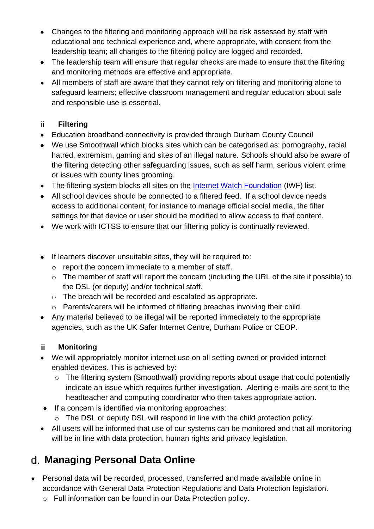- Changes to the filtering and monitoring approach will be risk assessed by staff with educational and technical experience and, where appropriate, with consent from the leadership team; all changes to the filtering policy are logged and recorded.
- The leadership team will ensure that regular checks are made to ensure that the filtering and monitoring methods are effective and appropriate.
- All members of staff are aware that they cannot rely on filtering and monitoring alone to safeguard learners; effective classroom management and regular education about safe and responsible use is essential.

#### ii. **Filtering**

- Education broadband connectivity is provided through Durham County Council
- We use Smoothwall which blocks sites which can be categorised as: pornography, racial hatred, extremism, gaming and sites of an illegal nature. Schools should also be aware of the filtering detecting other safeguarding issues, such as self harm, serious violent crime or issues with county lines grooming.
- The filtering system blocks all sites on the [Internet Watch Foundation](https://www.iwf.org.uk/) (IWF) list.
- All school devices should be connected to a filtered feed. If a school device needs access to additional content, for instance to manage official social media, the filter settings for that device or user should be modified to allow access to that content.
- We work with ICTSS to ensure that our filtering policy is continually reviewed.
- If learners discover unsuitable sites, they will be required to:
	- o report the concern immediate to a member of staff.
	- o The member of staff will report the concern (including the URL of the site if possible) to the DSL (or deputy) and/or technical staff.
	- o The breach will be recorded and escalated as appropriate.
	- o Parents/carers will be informed of filtering breaches involving their child.
- Any material believed to be illegal will be reported immediately to the appropriate agencies, such as the UK Safer Internet Centre, Durham Police or CEOP.

#### **Monitoring** iii.

- We will appropriately monitor internet use on all setting owned or provided internet enabled devices. This is achieved by:
	- o The filtering system (Smoothwall) providing reports about usage that could potentially indicate an issue which requires further investigation. Alerting e-mails are sent to the headteacher and computing coordinator who then takes appropriate action.
- If a concern is identified via monitoring approaches:
	- o The DSL or deputy DSL will respond in line with the child protection policy.
- All users will be informed that use of our systems can be monitored and that all monitoring will be in line with data protection, human rights and privacy legislation.

## <span id="page-11-0"></span>**Managing Personal Data Online**

- Personal data will be recorded, processed, transferred and made available online in accordance with General Data Protection Regulations and Data Protection legislation.
	- o Full information can be found in our Data Protection policy.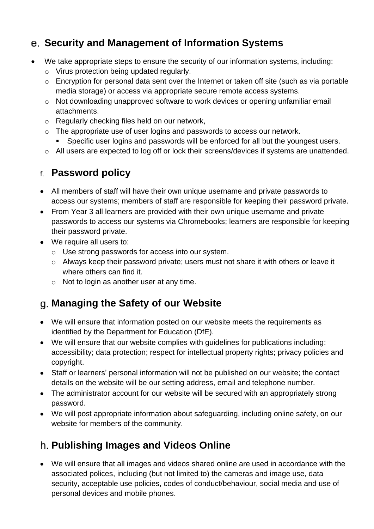#### <span id="page-12-0"></span>**Security and Management of Information Systems**

- We take appropriate steps to ensure the security of our information systems, including:
	- o Virus protection being updated regularly.
	- o Encryption for personal data sent over the Internet or taken off site (such as via portable media storage) or access via appropriate secure remote access systems.
	- o Not downloading unapproved software to work devices or opening unfamiliar email attachments.
	- o Regularly checking files held on our network,
	- o The appropriate use of user logins and passwords to access our network.
		- Specific user logins and passwords will be enforced for all but the youngest users.
	- o All users are expected to log off or lock their screens/devices if systems are unattended.

#### <span id="page-12-1"></span>**Password policy**

- All members of staff will have their own unique username and private passwords to access our systems; members of staff are responsible for keeping their password private.
- From Year 3 all learners are provided with their own unique username and private passwords to access our systems via Chromebooks; learners are responsible for keeping their password private.
- We require all users to:
	- o Use strong passwords for access into our system.
	- o Always keep their password private; users must not share it with others or leave it where others can find it.
	- o Not to login as another user at any time.

#### <span id="page-12-2"></span>**Managing the Safety of our Website**

- We will ensure that information posted on our website meets the requirements as identified by the Department for Education (DfE).
- We will ensure that our website complies with guidelines for publications including: accessibility; data protection; respect for intellectual property rights; privacy policies and copyright.
- Staff or learners' personal information will not be published on our website; the contact details on the website will be our setting address, email and telephone number.
- The administrator account for our website will be secured with an appropriately strong password.
- We will post appropriate information about safeguarding, including online safety, on our website for members of the community.

#### <span id="page-12-3"></span>**Publishing Images and Videos Online**

• We will ensure that all images and videos shared online are used in accordance with the associated polices, including (but not limited to) the cameras and image use, data security, acceptable use policies, codes of conduct/behaviour, social media and use of personal devices and mobile phones.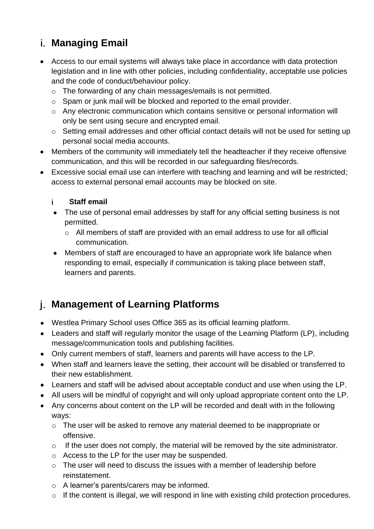#### <span id="page-13-0"></span>**Managing Email**

- Access to our email systems will always take place in accordance with data protection legislation and in line with other policies, including confidentiality, acceptable use policies and the code of conduct/behaviour policy.
	- o The forwarding of any chain messages/emails is not permitted.
	- o Spam or junk mail will be blocked and reported to the email provider.
	- o Any electronic communication which contains sensitive or personal information will only be sent using secure and encrypted email.
	- o Setting email addresses and other official contact details will not be used for setting up personal social media accounts.
- Members of the community will immediately tell the headteacher if they receive offensive communication, and this will be recorded in our safeguarding files/records.
- Excessive social email use can interfere with teaching and learning and will be restricted; access to external personal email accounts may be blocked on site.

#### **Staff email** i.

- The use of personal email addresses by staff for any official setting business is not permitted.
	- o All members of staff are provided with an email address to use for all official communication.
- Members of staff are encouraged to have an appropriate work life balance when responding to email, especially if communication is taking place between staff, learners and parents.

#### <span id="page-13-1"></span>**Management of Learning Platforms**

- Westlea Primary School uses Office 365 as its official learning platform.
- Leaders and staff will regularly monitor the usage of the Learning Platform (LP), including message/communication tools and publishing facilities.
- Only current members of staff, learners and parents will have access to the LP.
- When staff and learners leave the setting, their account will be disabled or transferred to their new establishment.
- Learners and staff will be advised about acceptable conduct and use when using the LP.
- All users will be mindful of copyright and will only upload appropriate content onto the LP.
- Any concerns about content on the LP will be recorded and dealt with in the following ways:
	- o The user will be asked to remove any material deemed to be inappropriate or offensive.
	- o If the user does not comply, the material will be removed by the site administrator.
	- o Access to the LP for the user may be suspended.
	- o The user will need to discuss the issues with a member of leadership before reinstatement.
	- o A learner's parents/carers may be informed.
	- o If the content is illegal, we will respond in line with existing child protection procedures.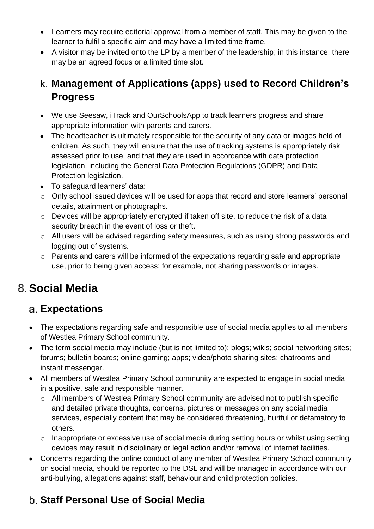- Learners may require editorial approval from a member of staff. This may be given to the learner to fulfil a specific aim and may have a limited time frame.
- A visitor may be invited onto the LP by a member of the leadership; in this instance, there may be an agreed focus or a limited time slot.

#### <span id="page-14-0"></span>**Management of Applications (apps) used to Record Children's Progress**

- We use Seesaw, iTrack and OurSchoolsApp to track learners progress and share appropriate information with parents and carers.
- The headteacher is ultimately responsible for the security of any data or images held of children. As such, they will ensure that the use of tracking systems is appropriately risk assessed prior to use, and that they are used in accordance with data protection legislation, including the General Data Protection Regulations (GDPR) and Data Protection legislation.
- To safeguard learners' data:
- o Only school issued devices will be used for apps that record and store learners' personal details, attainment or photographs.
- o Devices will be appropriately encrypted if taken off site, to reduce the risk of a data security breach in the event of loss or theft.
- o All users will be advised regarding safety measures, such as using strong passwords and logging out of systems.
- o Parents and carers will be informed of the expectations regarding safe and appropriate use, prior to being given access; for example, not sharing passwords or images.

# <span id="page-14-1"></span>**Social Media**

#### <span id="page-14-2"></span>**Expectations**

- The expectations regarding safe and responsible use of social media applies to all members of Westlea Primary School community.
- The term social media may include (but is not limited to): blogs; wikis; social networking sites; forums; bulletin boards; online gaming; apps; video/photo sharing sites; chatrooms and instant messenger.
- All members of Westlea Primary School community are expected to engage in social media in a positive, safe and responsible manner.
	- o All members of Westlea Primary School community are advised not to publish specific and detailed private thoughts, concerns, pictures or messages on any social media services, especially content that may be considered threatening, hurtful or defamatory to others.
	- $\circ$  Inappropriate or excessive use of social media during setting hours or whilst using setting devices may result in disciplinary or legal action and/or removal of internet facilities.
- Concerns regarding the online conduct of any member of Westlea Primary School community on social media, should be reported to the DSL and will be managed in accordance with our anti-bullying, allegations against staff, behaviour and child protection policies.

#### <span id="page-14-3"></span>**Staff Personal Use of Social Media**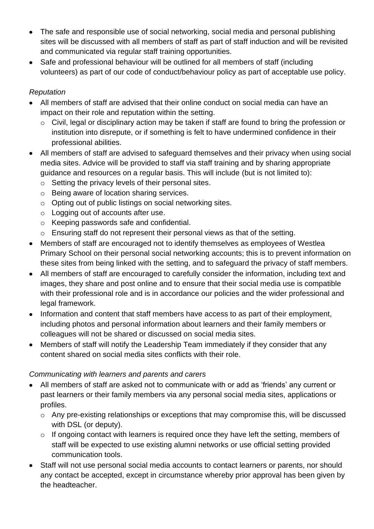- The safe and responsible use of social networking, social media and personal publishing sites will be discussed with all members of staff as part of staff induction and will be revisited and communicated via regular staff training opportunities.
- Safe and professional behaviour will be outlined for all members of staff (including volunteers) as part of our code of conduct/behaviour policy as part of acceptable use policy.

#### *Reputation*

- All members of staff are advised that their online conduct on social media can have an impact on their role and reputation within the setting.
	- o Civil, legal or disciplinary action may be taken if staff are found to bring the profession or institution into disrepute, or if something is felt to have undermined confidence in their professional abilities.
- All members of staff are advised to safeguard themselves and their privacy when using social media sites. Advice will be provided to staff via staff training and by sharing appropriate guidance and resources on a regular basis. This will include (but is not limited to):
	- o Setting the privacy levels of their personal sites.
	- o Being aware of location sharing services.
	- o Opting out of public listings on social networking sites.
	- o Logging out of accounts after use.
	- o Keeping passwords safe and confidential.
	- o Ensuring staff do not represent their personal views as that of the setting.
- Members of staff are encouraged not to identify themselves as employees of Westlea Primary School on their personal social networking accounts; this is to prevent information on these sites from being linked with the setting, and to safeguard the privacy of staff members.
- All members of staff are encouraged to carefully consider the information, including text and images, they share and post online and to ensure that their social media use is compatible with their professional role and is in accordance our policies and the wider professional and legal framework.
- Information and content that staff members have access to as part of their employment, including photos and personal information about learners and their family members or colleagues will not be shared or discussed on social media sites.
- Members of staff will notify the Leadership Team immediately if they consider that any content shared on social media sites conflicts with their role.

#### *Communicating with learners and parents and carers*

- All members of staff are asked not to communicate with or add as 'friends' any current or past learners or their family members via any personal social media sites, applications or profiles.
	- o Any pre-existing relationships or exceptions that may compromise this, will be discussed with DSL (or deputy).
	- o If ongoing contact with learners is required once they have left the setting, members of staff will be expected to use existing alumni networks or use official setting provided communication tools.
- Staff will not use personal social media accounts to contact learners or parents, nor should any contact be accepted, except in circumstance whereby prior approval has been given by the headteacher.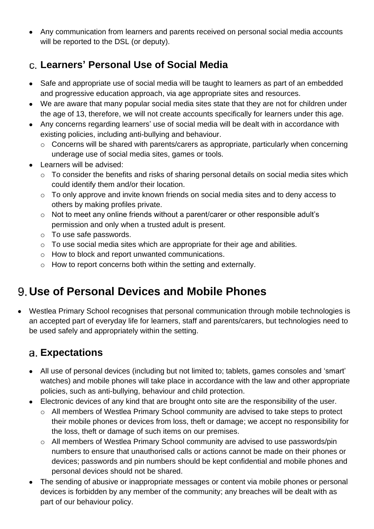• Any communication from learners and parents received on personal social media accounts will be reported to the DSL (or deputy).

#### <span id="page-16-0"></span>**Learners' Personal Use of Social Media**

- Safe and appropriate use of social media will be taught to learners as part of an embedded and progressive education approach, via age appropriate sites and resources.
- We are aware that many popular social media sites state that they are not for children under the age of 13, therefore, we will not create accounts specifically for learners under this age.
- Any concerns regarding learners' use of social media will be dealt with in accordance with existing policies, including anti-bullying and behaviour.
	- o Concerns will be shared with parents/carers as appropriate, particularly when concerning underage use of social media sites, games or tools.
- Learners will be advised:
	- o To consider the benefits and risks of sharing personal details on social media sites which could identify them and/or their location.
	- o To only approve and invite known friends on social media sites and to deny access to others by making profiles private.
	- o Not to meet any online friends without a parent/carer or other responsible adult's permission and only when a trusted adult is present.
	- o To use safe passwords.
	- o To use social media sites which are appropriate for their age and abilities.
	- o How to block and report unwanted communications.
	- o How to report concerns both within the setting and externally.

# <span id="page-16-1"></span>**Use of Personal Devices and Mobile Phones**

• Westlea Primary School recognises that personal communication through mobile technologies is an accepted part of everyday life for learners, staff and parents/carers, but technologies need to be used safely and appropriately within the setting.

#### <span id="page-16-2"></span>**Expectations**

- All use of personal devices (including but not limited to; tablets, games consoles and 'smart' watches) and mobile phones will take place in accordance with the law and other appropriate policies, such as anti-bullying, behaviour and child protection.
- Electronic devices of any kind that are brought onto site are the responsibility of the user.
	- o All members of Westlea Primary School community are advised to take steps to protect their mobile phones or devices from loss, theft or damage; we accept no responsibility for the loss, theft or damage of such items on our premises.
	- o All members of Westlea Primary School community are advised to use passwords/pin numbers to ensure that unauthorised calls or actions cannot be made on their phones or devices; passwords and pin numbers should be kept confidential and mobile phones and personal devices should not be shared.
- The sending of abusive or inappropriate messages or content via mobile phones or personal devices is forbidden by any member of the community; any breaches will be dealt with as part of our behaviour policy.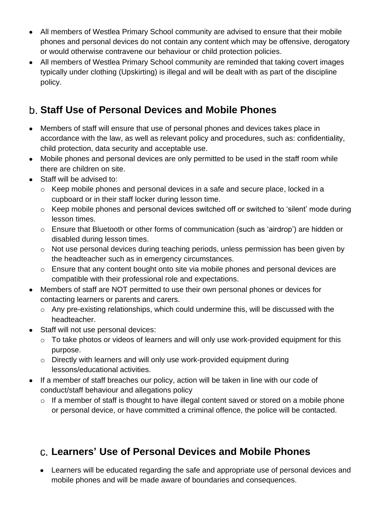- All members of Westlea Primary School community are advised to ensure that their mobile phones and personal devices do not contain any content which may be offensive, derogatory or would otherwise contravene our behaviour or child protection policies.
- All members of Westlea Primary School community are reminded that taking covert images typically under clothing (Upskirting) is illegal and will be dealt with as part of the discipline policy.

#### <span id="page-17-0"></span>**Staff Use of Personal Devices and Mobile Phones**

- Members of staff will ensure that use of personal phones and devices takes place in accordance with the law, as well as relevant policy and procedures, such as: confidentiality, child protection, data security and acceptable use.
- Mobile phones and personal devices are only permitted to be used in the staff room while there are children on site.
- Staff will be advised to:
	- o Keep mobile phones and personal devices in a safe and secure place, locked in a cupboard or in their staff locker during lesson time.
	- o Keep mobile phones and personal devices switched off or switched to 'silent' mode during lesson times.
	- o Ensure that Bluetooth or other forms of communication (such as 'airdrop') are hidden or disabled during lesson times.
	- o Not use personal devices during teaching periods, unless permission has been given by the headteacher such as in emergency circumstances.
	- o Ensure that any content bought onto site via mobile phones and personal devices are compatible with their professional role and expectations.
- Members of staff are NOT permitted to use their own personal phones or devices for contacting learners or parents and carers.
	- o Any pre-existing relationships, which could undermine this, will be discussed with the headteacher.
- Staff will not use personal devices:
	- o To take photos or videos of learners and will only use work-provided equipment for this purpose.
	- o Directly with learners and will only use work-provided equipment during lessons/educational activities.
- If a member of staff breaches our policy, action will be taken in line with our code of conduct/staff behaviour and allegations policy
	- o If a member of staff is thought to have illegal content saved or stored on a mobile phone or personal device, or have committed a criminal offence, the police will be contacted.

#### <span id="page-17-1"></span>**Learners' Use of Personal Devices and Mobile Phones**

• Learners will be educated regarding the safe and appropriate use of personal devices and mobile phones and will be made aware of boundaries and consequences.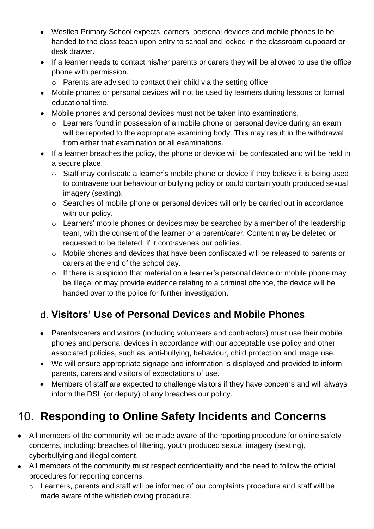- Westlea Primary School expects learners' personal devices and mobile phones to be handed to the class teach upon entry to school and locked in the classroom cupboard or desk drawer.
- If a learner needs to contact his/her parents or carers they will be allowed to use the office phone with permission.
	- o Parents are advised to contact their child via the setting office.
- Mobile phones or personal devices will not be used by learners during lessons or formal educational time.
- Mobile phones and personal devices must not be taken into examinations.
	- o Learners found in possession of a mobile phone or personal device during an exam will be reported to the appropriate examining body. This may result in the withdrawal from either that examination or all examinations.
- If a learner breaches the policy, the phone or device will be confiscated and will be held in a secure place.
	- o Staff may confiscate a learner's mobile phone or device if they believe it is being used to contravene our behaviour or bullying policy or could contain youth produced sexual imagery (sexting).
	- o Searches of mobile phone or personal devices will only be carried out in accordance with our policy.
	- o Learners' mobile phones or devices may be searched by a member of the leadership team, with the consent of the learner or a parent/carer. Content may be deleted or requested to be deleted, if it contravenes our policies.
	- o Mobile phones and devices that have been confiscated will be released to parents or carers at the end of the school day.
	- o If there is suspicion that material on a learner's personal device or mobile phone may be illegal or may provide evidence relating to a criminal offence, the device will be handed over to the police for further investigation.

## <span id="page-18-0"></span>**Visitors' Use of Personal Devices and Mobile Phones**

- Parents/carers and visitors (including volunteers and contractors) must use their mobile phones and personal devices in accordance with our acceptable use policy and other associated policies, such as: anti-bullying, behaviour, child protection and image use.
- We will ensure appropriate signage and information is displayed and provided to inform parents, carers and visitors of expectations of use.
- Members of staff are expected to challenge visitors if they have concerns and will always inform the DSL (or deputy) of any breaches our policy.

# <span id="page-18-1"></span>**Responding to Online Safety Incidents and Concerns**

- All members of the community will be made aware of the reporting procedure for online safety concerns, including: breaches of filtering, youth produced sexual imagery (sexting), cyberbullying and illegal content.
- All members of the community must respect confidentiality and the need to follow the official procedures for reporting concerns.
	- o Learners, parents and staff will be informed of our complaints procedure and staff will be made aware of the whistleblowing procedure.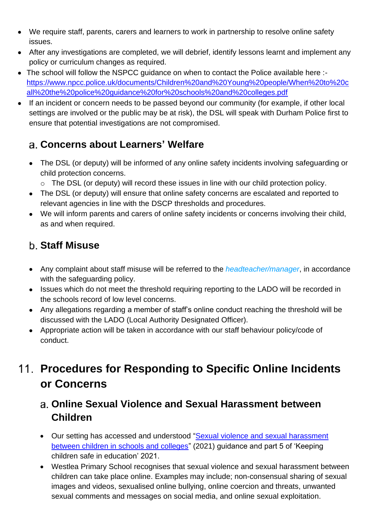- We require staff, parents, carers and learners to work in partnership to resolve online safety issues.
- After any investigations are completed, we will debrief, identify lessons learnt and implement any policy or curriculum changes as required.
- The school will follow the NSPCC quidance on when to contact the Police available here :[https://www.npcc.police.uk/documents/Children%20and%20Young%20people/When%20to%20c](https://www.npcc.police.uk/documents/Children%20and%20Young%20people/When%20to%20call%20the%20police%20guidance%20for%20schools%20and%20colleges.pdf) [all%20the%20police%20guidance%20for%20schools%20and%20colleges.pdf](https://www.npcc.police.uk/documents/Children%20and%20Young%20people/When%20to%20call%20the%20police%20guidance%20for%20schools%20and%20colleges.pdf)
- If an incident or concern needs to be passed beyond our community (for example, if other local settings are involved or the public may be at risk), the DSL will speak with Durham Police first to ensure that potential investigations are not compromised.

#### <span id="page-19-0"></span>**Concerns about Learners' Welfare**

- The DSL (or deputy) will be informed of any online safety incidents involving safeguarding or child protection concerns.
	- o The DSL (or deputy) will record these issues in line with our child protection policy.
- The DSL (or deputy) will ensure that online safety concerns are escalated and reported to relevant agencies in line with the DSCP thresholds and procedures.
- We will inform parents and carers of online safety incidents or concerns involving their child, as and when required.

## <span id="page-19-1"></span>**Staff Misuse**

- Any complaint about staff misuse will be referred to the *headteacher/manager*, in accordance with the safeguarding policy.
- Issues which do not meet the threshold requiring reporting to the LADO will be recorded in the schools record of low level concerns.
- Any allegations regarding a member of staff's online conduct reaching the threshold will be discussed with the LADO (Local Authority Designated Officer).
- Appropriate action will be taken in accordance with our staff behaviour policy/code of conduct.

# <span id="page-19-2"></span>**Procedures for Responding to Specific Online Incidents or Concerns**

#### <span id="page-19-3"></span>**Online Sexual Violence and Sexual Harassment between Children**

- Our setting has accessed and understood ["Sexual violence and sexual harassment](https://www.gov.uk/government/publications/sexual-violence-and-sexual-harassment-between-children-in-schools-and-colleges)  [between children in schools and colleges"](https://www.gov.uk/government/publications/sexual-violence-and-sexual-harassment-between-children-in-schools-and-colleges) (2021) guidance and part 5 of 'Keeping children safe in education' 2021.
- Westlea Primary School recognises that sexual violence and sexual harassment between children can take place online. Examples may include; non-consensual sharing of sexual images and videos, sexualised online bullying, online coercion and threats, unwanted sexual comments and messages on social media, and online sexual exploitation.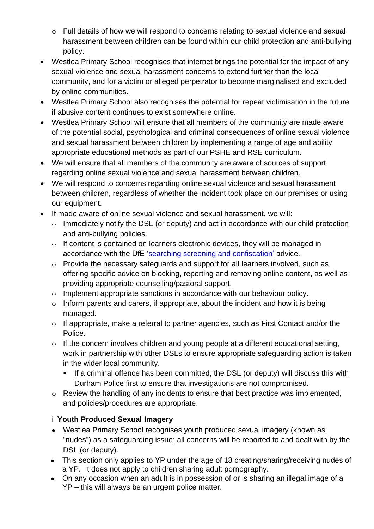- o Full details of how we will respond to concerns relating to sexual violence and sexual harassment between children can be found within our child protection and anti-bullying policy.
- Westlea Primary School recognises that internet brings the potential for the impact of any sexual violence and sexual harassment concerns to extend further than the local community, and for a victim or alleged perpetrator to become marginalised and excluded by online communities.
- Westlea Primary School also recognises the potential for repeat victimisation in the future if abusive content continues to exist somewhere online.
- Westlea Primary School will ensure that all members of the community are made aware of the potential social, psychological and criminal consequences of online sexual violence and sexual harassment between children by implementing a range of age and ability appropriate educational methods as part of our PSHE and RSE curriculum.
- We will ensure that all members of the community are aware of sources of support regarding online sexual violence and sexual harassment between children.
- We will respond to concerns regarding online sexual violence and sexual harassment between children, regardless of whether the incident took place on our premises or using our equipment.
- If made aware of online sexual violence and sexual harassment, we will:
	- o Immediately notify the DSL (or deputy) and act in accordance with our child protection and anti-bullying policies.
	- o If content is contained on learners electronic devices, they will be managed in accordance with the DfE ['searching screening and confiscation'](https://www.gov.uk/government/publications/searching-screening-and-confiscation) advice.
	- o Provide the necessary safeguards and support for all learners involved, such as offering specific advice on blocking, reporting and removing online content, as well as providing appropriate counselling/pastoral support.
	- o Implement appropriate sanctions in accordance with our behaviour policy.
	- o Inform parents and carers, if appropriate, about the incident and how it is being managed.
	- o If appropriate, make a referral to partner agencies, such as First Contact and/or the Police.
	- o If the concern involves children and young people at a different educational setting, work in partnership with other DSLs to ensure appropriate safeguarding action is taken in the wider local community.
		- **EXT** If a criminal offence has been committed, the DSL (or deputy) will discuss this with Durham Police first to ensure that investigations are not compromised.
	- o Review the handling of any incidents to ensure that best practice was implemented, and policies/procedures are appropriate.

#### **Youth Produced Sexual Imagery**

- Westlea Primary School recognises youth produced sexual imagery (known as "nudes") as a safeguarding issue; all concerns will be reported to and dealt with by the DSL (or deputy).
- This section only applies to YP under the age of 18 creating/sharing/receiving nudes of a YP. It does not apply to children sharing adult pornography.
- On any occasion when an adult is in possession of or is sharing an illegal image of a YP – this will always be an urgent police matter.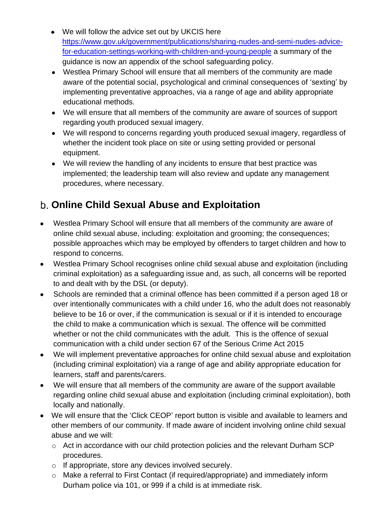- We will follow the advice set out by UKCIS here [https://www.gov.uk/government/publications/sharing-nudes-and-semi-nudes-advice](https://www.gov.uk/government/publications/sharing-nudes-and-semi-nudes-advice-for-education-settings-working-with-children-and-young-people)[for-education-settings-working-with-children-and-young-people](https://www.gov.uk/government/publications/sharing-nudes-and-semi-nudes-advice-for-education-settings-working-with-children-and-young-people) a summary of the guidance is now an appendix of the school safeguarding policy.
- Westlea Primary School will ensure that all members of the community are made aware of the potential social, psychological and criminal consequences of 'sexting' by implementing preventative approaches, via a range of age and ability appropriate educational methods.
- We will ensure that all members of the community are aware of sources of support regarding youth produced sexual imagery.
- We will respond to concerns regarding youth produced sexual imagery, regardless of whether the incident took place on site or using setting provided or personal equipment.
- We will review the handling of any incidents to ensure that best practice was implemented; the leadership team will also review and update any management procedures, where necessary.

#### <span id="page-21-0"></span>**Online Child Sexual Abuse and Exploitation**

- Westlea Primary School will ensure that all members of the community are aware of online child sexual abuse, including: exploitation and grooming; the consequences; possible approaches which may be employed by offenders to target children and how to respond to concerns.
- Westlea Primary School recognises online child sexual abuse and exploitation (including criminal exploitation) as a safeguarding issue and, as such, all concerns will be reported to and dealt with by the DSL (or deputy).
- Schools are reminded that a criminal offence has been committed if a person aged 18 or over intentionally communicates with a child under 16, who the adult does not reasonably believe to be 16 or over, if the communication is sexual or if it is intended to encourage the child to make a communication which is sexual. The offence will be committed whether or not the child communicates with the adult. This is the offence of sexual communication with a child under section 67 of the Serious Crime Act 2015
- We will implement preventative approaches for online child sexual abuse and exploitation (including criminal exploitation) via a range of age and ability appropriate education for learners, staff and parents/carers.
- We will ensure that all members of the community are aware of the support available regarding online child sexual abuse and exploitation (including criminal exploitation), both locally and nationally.
- We will ensure that the 'Click CEOP' report button is visible and available to learners and other members of our community. If made aware of incident involving online child sexual abuse and we will:
	- o Act in accordance with our child protection policies and the relevant Durham SCP procedures.
	- o If appropriate, store any devices involved securely.
	- o Make a referral to First Contact (if required/appropriate) and immediately inform Durham police via 101, or 999 if a child is at immediate risk.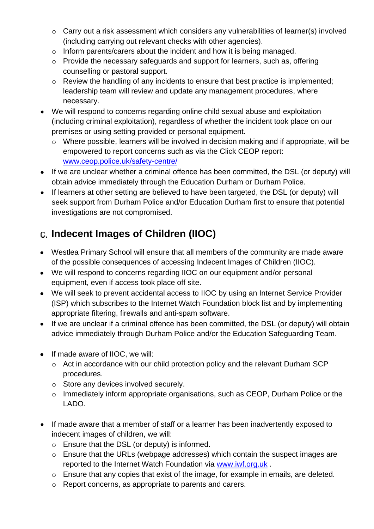- o Carry out a risk assessment which considers any vulnerabilities of learner(s) involved (including carrying out relevant checks with other agencies).
- o Inform parents/carers about the incident and how it is being managed.
- o Provide the necessary safeguards and support for learners, such as, offering counselling or pastoral support.
- o Review the handling of any incidents to ensure that best practice is implemented; leadership team will review and update any management procedures, where necessary.
- We will respond to concerns regarding online child sexual abuse and exploitation (including criminal exploitation), regardless of whether the incident took place on our premises or using setting provided or personal equipment.
	- o Where possible, learners will be involved in decision making and if appropriate, will be empowered to report concerns such as via the Click CEOP report: [www.ceop.police.uk/safety-centre/](http://www.ceop.police.uk/safety-centre/)
- If we are unclear whether a criminal offence has been committed, the DSL (or deputy) will obtain advice immediately through the Education Durham or Durham Police.
- If learners at other setting are believed to have been targeted, the DSL (or deputy) will seek support from Durham Police and/or Education Durham first to ensure that potential investigations are not compromised.

# <span id="page-22-0"></span>**Indecent Images of Children (IIOC)**

- Westlea Primary School will ensure that all members of the community are made aware of the possible consequences of accessing Indecent Images of Children (IIOC).
- We will respond to concerns regarding IIOC on our equipment and/or personal equipment, even if access took place off site.
- We will seek to prevent accidental access to IIOC by using an Internet Service Provider (ISP) which subscribes to the Internet Watch Foundation block list and by implementing appropriate filtering, firewalls and anti-spam software.
- If we are unclear if a criminal offence has been committed, the DSL (or deputy) will obtain advice immediately through Durham Police and/or the Education Safeguarding Team.
- If made aware of IIOC, we will:
	- o Act in accordance with our child protection policy and the relevant Durham SCP procedures.
	- o Store any devices involved securely.
	- o Immediately inform appropriate organisations, such as CEOP, Durham Police or the LADO.
- If made aware that a member of staff or a learner has been inadvertently exposed to indecent images of children, we will:
	- o Ensure that the DSL (or deputy) is informed.
	- o Ensure that the URLs (webpage addresses) which contain the suspect images are reported to the Internet Watch Foundation via [www.iwf.org.uk](https://www.iwf.org.uk/) .
	- $\circ$  Ensure that any copies that exist of the image, for example in emails, are deleted.
	- o Report concerns, as appropriate to parents and carers.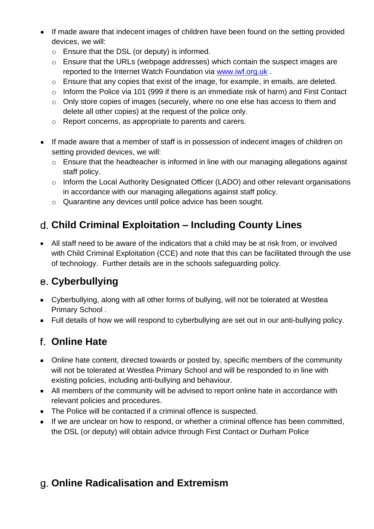- If made aware that indecent images of children have been found on the setting provided devices, we will:
	- o Ensure that the DSL (or deputy) is informed.
	- o Ensure that the URLs (webpage addresses) which contain the suspect images are reported to the Internet Watch Foundation via [www.iwf.org.uk](https://www.iwf.org.uk/).
	- o Ensure that any copies that exist of the image, for example, in emails, are deleted.
	- o Inform the Police via 101 (999 if there is an immediate risk of harm) and First Contact
	- o Only store copies of images (securely, where no one else has access to them and delete all other copies) at the request of the police only.
	- o Report concerns, as appropriate to parents and carers.
- If made aware that a member of staff is in possession of indecent images of children on setting provided devices, we will:
	- o Ensure that the headteacher is informed in line with our managing allegations against staff policy.
	- o Inform the Local Authority Designated Officer (LADO) and other relevant organisations in accordance with our managing allegations against staff policy.
	- o Quarantine any devices until police advice has been sought.

#### <span id="page-23-0"></span>**Child Criminal Exploitation – Including County Lines**

• All staff need to be aware of the indicators that a child may be at risk from, or involved with Child Criminal Exploitation (CCE) and note that this can be facilitated through the use of technology. Further details are in the schools safeguarding policy.

#### <span id="page-23-1"></span>**Cyberbullying**

- Cyberbullying, along with all other forms of bullying, will not be tolerated at Westlea Primary School .
- Full details of how we will respond to cyberbullying are set out in our anti-bullying policy.

#### <span id="page-23-2"></span>**Online Hate**

- Online hate content, directed towards or posted by, specific members of the community will not be tolerated at Westlea Primary School and will be responded to in line with existing policies, including anti-bullying and behaviour.
- All members of the community will be advised to report online hate in accordance with relevant policies and procedures.
- The Police will be contacted if a criminal offence is suspected.
- If we are unclear on how to respond, or whether a criminal offence has been committed, the DSL (or deputy) will obtain advice through First Contact or Durham Police

## <span id="page-23-3"></span>**Online Radicalisation and Extremism**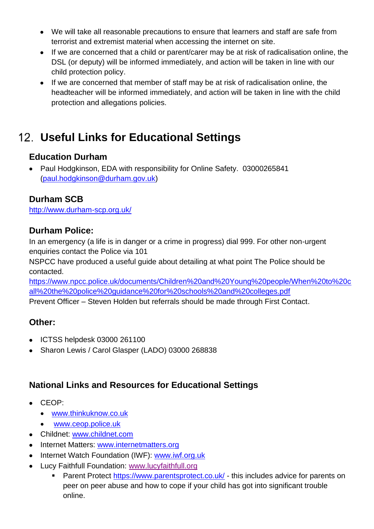- We will take all reasonable precautions to ensure that learners and staff are safe from terrorist and extremist material when accessing the internet on site.
- If we are concerned that a child or parent/carer may be at risk of radicalisation online, the DSL (or deputy) will be informed immediately, and action will be taken in line with our child protection policy.
- If we are concerned that member of staff may be at risk of radicalisation online, the headteacher will be informed immediately, and action will be taken in line with the child protection and allegations policies.

# <span id="page-24-0"></span>**Useful Links for Educational Settings**

#### **Education Durham**

• Paul Hodgkinson, EDA with responsibility for Online Safety. 03000265841 [\(paul.hodgkinson@durham.gov.uk\)](mailto:paul.hodgkinson@durham.gov.uk)

#### **Durham SCB**

http://www.durham-scp.org.uk/

#### **Durham Police:**

In an emergency (a life is in danger or a crime in progress) dial 999. For other non-urgent enquiries contact the Police via 101

NSPCC have produced a useful guide about detailing at what point The Police should be contacted.

[https://www.npcc.police.uk/documents/Children%20and%20Young%20people/When%20to%20c](https://www.npcc.police.uk/documents/Children%20and%20Young%20people/When%20to%20call%20the%20police%20guidance%20for%20schools%20and%20colleges.pdf) [all%20the%20police%20guidance%20for%20schools%20and%20colleges.pdf](https://www.npcc.police.uk/documents/Children%20and%20Young%20people/When%20to%20call%20the%20police%20guidance%20for%20schools%20and%20colleges.pdf)

Prevent Officer – Steven Holden but referrals should be made through First Contact.

#### **Other:**

- ICTSS helpdesk 03000 261100
- Sharon Lewis / Carol Glasper (LADO) 03000 268838

#### **National Links and Resources for Educational Settings**

- CEOP:
	- [www.thinkuknow.co.uk](http://www.thinkuknow.co.uk/)
	- [www.ceop.police.uk](http://www.ceop.police.uk/)
- Childnet: [www.childnet.com](http://www.childnet.com/)
- Internet Matters: [www.internetmatters.org](http://www.internetmatters.org/)
- Internet Watch Foundation (IWF): [www.iwf.org.uk](http://www.iwf.org.uk/)
- Lucy Faithfull Foundation: [www.lucyfaithfull.org](http://www.lucyfaithfull.org/)
	- Parent Protect<https://www.parentsprotect.co.uk/> this includes advice for parents on peer on peer abuse and how to cope if your child has got into significant trouble online.